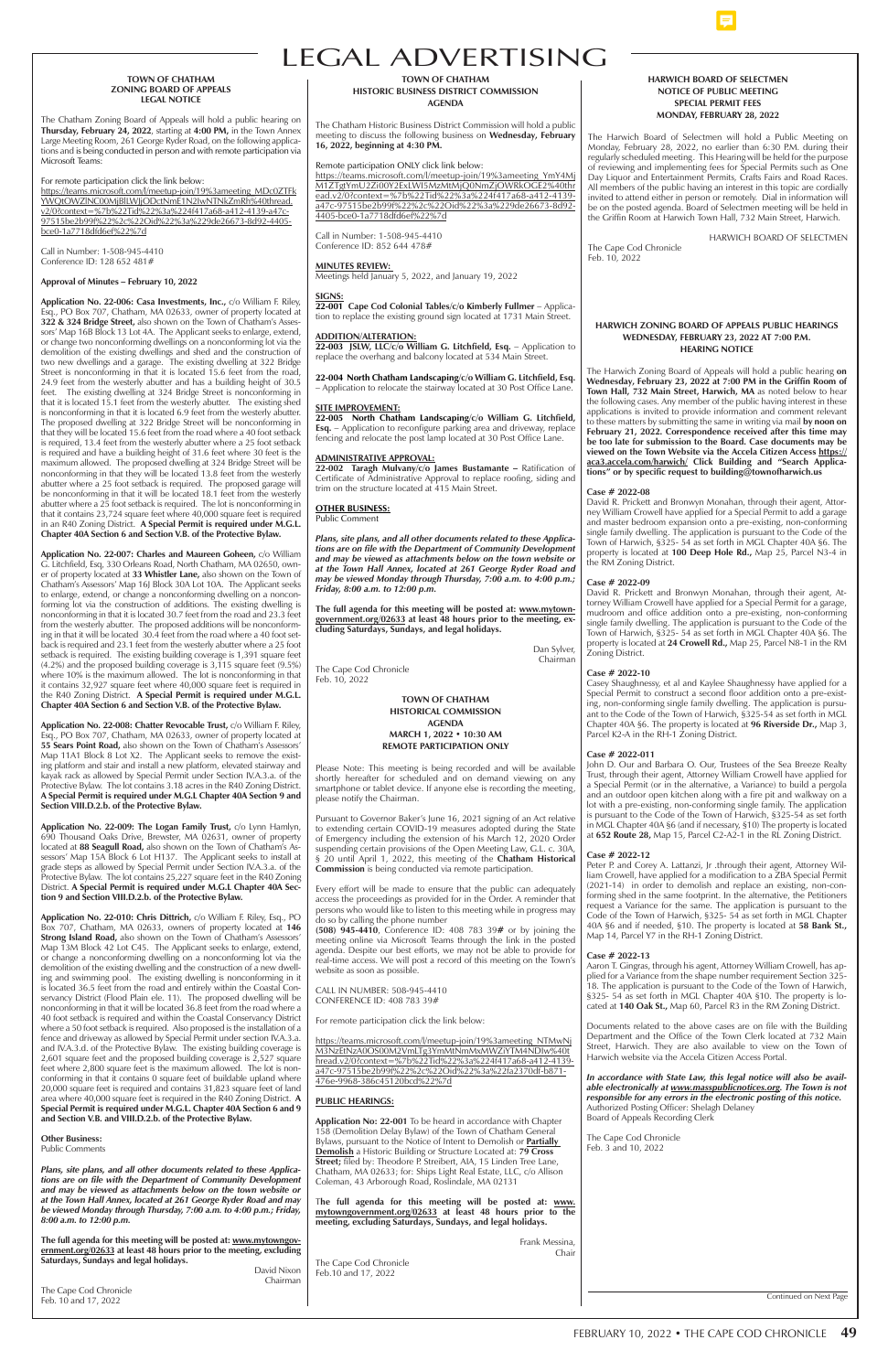#### **HARWICH ZONING BOARD OF APPEALS PUBLIC HEARINGS WEDNESDAY, FEBRUARY 23, 2022 AT 7:00 P.M. HEARING NOTICE**

The Harwich Zoning Board of Appeals will hold a public hearing **on Wednesday, February 23, 2022 at 7:00 PM in the Griffin Room of**  Town Hall, 732 Main Street, Harwich, MA as noted below to hear the following cases. Any member of the public having interest in these applications is invited to provide information and comment relevant to these matters by submitting the same in writing via mail **by noon on**  February 21, 2022. Correspondence received after this time may **be too late for submission to the Board. Case documents may be**  viewed on the Town Website via the Accela Citizen Access https:// **aca3.accela.com/harwich/ Click Building and "Search Applications" or by specific request to building@townofharwich.us**

#### **Case # 2022-08**

David R. Prickett and Bronwyn Monahan, through their agent, Attorney William Crowell have applied for a Special Permit to add a garage and master bedroom expansion onto a pre-existing, non-conforming single family dwelling. The application is pursuant to the Code of the Town of Harwich, §325- 54 as set forth in MGL Chapter 40A §6. The property is located at **100 Deep Hole Rd.,** Map 25, Parcel N3-4 in the RM Zoning District.

#### **Case # 2022-09**

John D. Our and Barbara O. Our, Trustees of the Sea Breeze Realty Trust, through their agent, Attorney William Crowell have applied for a Special Permit (or in the alternative, a Variance) to build a pergola and an outdoor open kitchen along with a fire pit and walkway on a lot with a pre-existing, non-conforming single family. The application is pursuant to the Code of the Town of Harwich, §325-54 as set forth in MGL Chapter 40A §6 (and if necessary, §10) The property is located at **652 Route 28,** Map 15, Parcel C2-A2-1 in the RL Zoning District.

David R. Prickett and Bronwyn Monahan, through their agent, Attorney William Crowell have applied for a Special Permit for a garage, mudroom and office addition onto a pre-existing, non-conforming single family dwelling. The application is pursuant to the Code of the Town of Harwich, §325- 54 as set forth in MGL Chapter 40A §6. The property is located at **24 Crowell Rd.,** Map 25, Parcel N8-1 in the RM Zoning District.

#### **Case # 2022-10**

Casey Shaughnessy, et al and Kaylee Shaughnessy have applied for a Special Permit to construct a second floor addition onto a pre-existing, non-conforming single family dwelling. The application is pursuant to the Code of the Town of Harwich, §325-54 as set forth in MGL Chapter 40A §6. The property is located at **96 Riverside Dr.,** Map 3, Parcel K2-A in the RH-1 Zoning District.

#### **Case # 2022-011**

#### **Case # 2022-12**

Peter P. and Corey A. Lattanzi, Jr .through their agent, Attorney William Crowell, have applied for a modification to a ZBA Special Permit (2021-14) in order to demolish and replace an existing, non-conforming shed in the same footprint. In the alternative, the Petitioners request a Variance for the same. The application is pursuant to the Code of the Town of Harwich, §325- 54 as set forth in MGL Chapter 40A §6 and if needed, §10. The property is located at **58 Bank St.,** Map 14, Parcel Y7 in the RH-1 Zoning District.

#### **Case # 2022-13**

Aaron T. Gingras, through his agent, Attorney William Crowell, has applied for a Variance from the shape number requirement Section 325-18. The application is pursuant to the Code of the Town of Harwich, §325- 54 as set forth in MGL Chapter 40A §10. The property is located at **140 Oak St.,** Map 60, Parcel R3 in the RM Zoning District.



Documents related to the above cases are on file with the Building Department and the Office of the Town Clerk located at 732 Main Street, Harwich. They are also available to view on the Town of Harwich website via the Accela Citizen Access Portal.

*In accordance with State Law, this legal notice will also be available electronically at www.masspublicnotices.org. The Town is not responsible for any errors in the electronic posting of this notice.* Authorized Posting Officer: Shelagh Delaney Board of Appeals Recording Clerk

The Cape Cod Chronicle Feb. 3 and 10, 2022

Continued on Next Page

#### **HARWICH BOARD OF SELECTMEN NOTICE OF PUBLIC MEETING SPECIAL PERMIT FEES MONDAY, FEBRUARY 28, 2022**

The Harwich Board of Selectmen will hold a Public Meeting on Monday, February 28, 2022, no earlier than 6:30 P.M. during their regularly scheduled meeting. This Hearing will be held for the purpose of reviewing and implementing fees for Special Permits such as One Day Liquor and Entertainment Permits, Crafts Fairs and Road Races. All members of the public having an interest in this topic are cordially invited to attend either in person or remotely. Dial in information will be on the posted agenda. Board of Selectmen meeting will be held in the Griffin Room at Harwich Town Hall, 732 Main Street, Harwich.

**Application No. 22-010: Chris Dittrich,** c/o William F. Riley, Esq., PO Box 707, Chatham, MA 02633, owners of property located at **146 Strong Island Road,** also shown on the Town of Chatham's Assessors' Map 13M Block 42 Lot C45. The Applicant seeks to enlarge, extend, or change a nonconforming dwelling on a nonconforming lot via the demolition of the existing dwelling and the construction of a new dwelling and swimming pool. The existing dwelling is nonconforming in it is located 36.5 feet from the road and entirely within the Coastal Conservancy District (Flood Plain ele. 11). The proposed dwelling will be ming in that it will be located 36.8 feet from the road

HARWICH BOARD OF SELECTMEN

The Cape Cod Chronicle Feb. 10, 2022

#### **TOWN OF CHATHAM ZONING BOARD OF APPEALS LEGAL NOTICE**

The Chatham Zoning Board of Appeals will hold a public hearing on **Thursday, February 24, 2022**, starting at **4:00 PM,** in the Town Annex Large Meeting Room, 261 George Ryder Road, on the following applications and is being conducted in person and with remote participation via Microsoft Teams:

For remote participation click the link below:

https://teams.microsoft.com/l/meetup-join/19%3ameeting\_MDc0ZTFk YWQtOWZlNC00MjBlLWJjODctNmE1N2IwNTNkZmRh%40thread. v2/0?context=%7b%22Tid%22%3a%224f417a68-a412-4139-a47c-97515be2b99f%22%2c%22Oid%22%3a%229de26673-8d92-4405 bce0-1a7718dfd6ef%22%7d

Call in Number: 1-508-945-4410 Conference ID: 128 652 481#

#### **Approval of Minutes – February 10, 2022**

### LEGAL ADVERTISING **TOWN OF CHATHAM**

**22-003 JSLW, LLC/c/o William G. Litchfield, Esq. – Application to** replace the overhang and balcony located at 534 Main Street.

**Application No. 22-006: Casa Investments, Inc.,** c/o William F. Riley, Esq., PO Box 707, Chatham, MA 02633, owner of property located at **322 & 324 Bridge Street,** also shown on the Town of Chatham's Assessors' Map 16B Block 13 Lot 4A. The Applicant seeks to enlarge, extend, or change two nonconforming dwellings on a nonconforming lot via the demolition of the existing dwellings and shed and the construction of two new dwellings and a garage. The existing dwelling at 322 Bridge Street is nonconforming in that it is located 15.6 feet from the road, 24.9 feet from the westerly abutter and has a building height of 30.5 feet. The existing dwelling at 324 Bridge Street is nonconforming in that it is located 15.1 feet from the westerly abutter. The existing shed is nonconforming in that it is located 6.9 feet from the westerly abutter. The proposed dwelling at 322 Bridge Street will be nonconforming in that they will be located 15.6 feet from the road where a 40 foot setback is required, 13.4 feet from the westerly abutter where a 25 foot setback is required and have a building height of 31.6 feet where 30 feet is the maximum allowed. The proposed dwelling at 324 Bridge Street will be nonconforming in that they will be located 13.8 feet from the westerly abutter where a 25 foot setback is required. The proposed garage will be nonconforming in that it will be located 18.1 feet from the westerly abutter where a  $25$  foot setback is required. The lot is nonconforming in that it contains 23,724 square feet where 40,000 square feet is required in an R40 Zoning District. **A Special Permit is required under M.G.L. Chapter 40A Section 6 and Section V.B. of the Protective Bylaw.** 

**Application No. 22-007: Charles and Maureen Goheen,** c/o William G. Litchfield, Esq, 330 Orleans Road, North Chatham, MA 02650, owner of property located at **33 Whistler Lane,** also shown on the Town of Chatham's Assessors' Map 16J Block 30A Lot 10A. The Applicant seeks to enlarge, extend, or change a nonconforming dwelling on a nonconforming lot via the construction of additions. The existing dwelling is nonconforming in that it is located 30.7 feet from the road and 23.3 feet from the westerly abutter. The proposed additions will be nonconforming in that it will be located 30.4 feet from the road where a 40 foot setback is required and 23.1 feet from the westerly abutter where a 25 foot setback is required. The existing building coverage is 1,391 square feet (4.2%) and the proposed building coverage is 3,115 square feet (9.5%) where 10% is the maximum allowed. The lot is nonconforming in that it contains 32,927 square feet where 40,000 square feet is required in the R40 Zoning District. **A Special Permit is required under M.G.L. Chapter 40A Section 6 and Section V.B. of the Protective Bylaw.** 

**Application No. 22-008: Chatter Revocable Trust,** c/o William F. Riley, Esq., PO Box 707, Chatham, MA 02633, owner of property located at **55 Sears Point Road,** also shown on the Town of Chatham's Assessors' Map 11A1 Block 8 Lot X2. The Applicant seeks to remove the existing platform and stair and install a new platform, elevated stairway and kayak rack as allowed by Special Permit under Section IV.A.3.a. of the Protective Bylaw. The lot contains 3.18 acres in the R40 Zoning District. **A Special Permit is required under M.G.L Chapter 40A Section 9 and Section VIII.D.2.b. of the Protective Bylaw.**

**Application No. 22-009: The Logan Family Trust,** c/o Lynn Hamlyn, 690 Thousand Oaks Drive, Brewster, MA 02631, owner of property located at **88 Seagull Road,** also shown on the Town of Chatham's Assessors' Map 15A Block 6 Lot H137. The Applicant seeks to install at grade steps as allowed by Special Permit under Section IV.A.3.a. of the Protective Bylaw. The lot contains 25,227 square feet in the R40 Zoning District. **A Special Permit is required under M.G.L Chapter 40A Section 9 and Section VIII.D.2.b. of the Protective Bylaw.**

| דוסווכסוווסווווווב וודעומג וג איווו טכ וסכמנכט טס.ט וככג ווטווו עוכ וסמט איווכוכ מ |  |  |  |  |  |
|------------------------------------------------------------------------------------|--|--|--|--|--|
| 40 foot setback is required and within the Coastal Conservancy District            |  |  |  |  |  |
| where a 50 foot setback is required. Also proposed is the installation of a        |  |  |  |  |  |
| fence and driveway as allowed by Special Permit under section IV.A.3.a.            |  |  |  |  |  |
| and IV.A.3.d. of the Protective Bylaw. The existing building coverage is           |  |  |  |  |  |
| 2,601 square feet and the proposed building coverage is 2,527 square               |  |  |  |  |  |
| feet where 2,800 square feet is the maximum allowed. The lot is non-               |  |  |  |  |  |
| conforming in that it contains 0 square feet of buildable upland where             |  |  |  |  |  |
| 20,000 square feet is required and contains 31,823 square feet of land             |  |  |  |  |  |
| area where $40,000$ square feet is required in the R40 Zoning District. $\bf{A}$   |  |  |  |  |  |
| Special Permit is required under M.G.L. Chapter 40A Section 6 and 9                |  |  |  |  |  |
| and Section V.B. and VIII.D.2.b. of the Protective Bylaw.                          |  |  |  |  |  |
|                                                                                    |  |  |  |  |  |

#### **Other Business:**

Public Comments

*Plans, site plans, and all other documents related to these Applications are on file with the Department of Community Development and may be viewed as attachments below on the town website or at the Town Hall Annex, located at 261 George Ryder Road and may be viewed Monday through Thursday, 7:00 a.m. to 4:00 p.m.; Friday, 8:00 a.m. to 12:00 p.m.*

**The full agenda for this meeting will be posted at: www.mytowngovernment.org/02633 at least 48 hours prior to the meeting, excluding Saturdays, Sundays and legal holidays.** David Nixon

Chairman

The Cape Cod Chronicle Feb. 10 and 17, 2022

**HISTORIC BUSINESS DISTRICT COMMISSION AGENDA**

The Chatham Historic Business District Commission will hold a public meeting to discuss the following business on **Wednesday, February 16, 2022, beginning at 4:30 PM.**

#### Remote participation ONLY click link below:

https://teams.microsoft.com/l/meetup-join/19%3ameeting\_YmY4Mj M1ZTgtYmU2Zi00Y2ExLWI5MzMtMjQ0NmZjOWRkOGE2%40thr ead.v2/0?context=%7b%22Tid%22%3a%224f417a68-a412-4139 a47c-97515be2b99f%22%2c%22Oid%22%3a%229de26673-8d92- 4405-bce0-1a7718dfd6ef%22%7d

Call in Number: 1-508-945-4410 Conference ID: 852 644 478#

#### **MINUTES REVIEW:**

Meetings held January 5, 2022, and January 19, 2022

#### **SIGNS:**

**22-001 Cape Cod Colonial Tables/c/o Kimberly Fullmer** – Application to replace the existing ground sign located at 1731 Main Street.

#### **ADDITION/ALTERATION:**

**22-004 North Chatham Landscaping/c/o William G. Litchfield, Esq.**  – Application to relocate the stairway located at 30 Post Office Lane.

#### **SITE IMPROVEMENT:**

**22-005 North Chatham Landscaping/c/o William G. Litchfield, Esq.** – Application to reconfigure parking area and driveway, replace fencing and relocate the post lamp located at 30 Post Office Lane.

#### **ADMINISTRATIVE APPROVAL:**

**22-002 Taragh Mulvany/c/o James Bustamante –** Ratification of Certificate of Administrative Approval to replace roofing, siding and trim on the structure located at 415 Main Street.

#### **OTHER BUSINESS:** Public Comment

*Plans, site plans, and all other documents related to these Applications are on file with the Department of Community Development and may be viewed as attachments below on the town website or at the Town Hall Annex, located at 261 George Ryder Road and may be viewed Monday through Thursday, 7:00 a.m. to 4:00 p.m.; Friday, 8:00 a.m. to 12:00 p.m.*

**The full agenda for this meeting will be posted at: www.mytowngovernment.org/02633 at least 48 hours prior to the meeting, excluding Saturdays, Sundays, and legal holidays.**

> Dan Sylver, Chairman

The Cape Cod Chronicle Feb. 10, 2022

> **TOWN OF CHATHAM HISTORICAL COMMISSION AGENDA MARCH 1, 2022 • 10:30 AM REMOTE PARTICIPATION ONLY**

Please Note: This meeting is being recorded and will be available shortly hereafter for scheduled and on demand viewing on any smartphone or tablet device. If anyone else is recording the meeting, please notify the Chairman.

Pursuant to Governor Baker's June 16, 2021 signing of an Act relative to extending certain COVID-19 measures adopted during the State of Emergency including the extension of his March 12, 2020 Order suspending certain provisions of the Open Meeting Law, G.L. c. 30A, § 20 until April 1, 2022, this meeting of the **Chatham Historical Commission** is being conducted via remote participation.

Every effort will be made to ensure that the public can adequately access the proceedings as provided for in the Order. A reminder that persons who would like to listen to this meeting while in progress may do so by calling the phone number

**(508) 945-4410**, Conference ID: 408 783 39**#** or by joining the meeting online via Microsoft Teams through the link in the posted agenda. Despite our best efforts, we may not be able to provide for real-time access. We will post a record of this meeting on the Town's website as soon as possible.

CALL IN NUMBER: 508-945-4410 CONFERENCE ID: 408 783 39#

For remote participation click the link below:

https://teams.microsoft.com/l/meetup-join/19%3ameeting\_NTMwNj M3NzEtNzA0OS00M2VmLTg3YmMtNmMxMWZiYTM4NDIw%40t hread.v2/0?context=%7b%22Tid%22%3a%224f417a68-a412-4139 a47c-97515be2b99f%22%2c%22Oid%22%3a%22fa2370df-b871- 476e-9968-386c45120bcd%22%7d

#### **PUBLIC HEARINGS:**

**Application No: 22-001** To be heard in accordance with Chapter 158 (Demolition Delay Bylaw) of the Town of Chatham General Bylaws, pursuant to the Notice of Intent to Demolish or **Partially Demolish** a Historic Building or Structure Located at: **79 Cross Street;** filed by: Theodore P. Streibert, AIA, 15 Linden Tree Lane, Chatham, MA 02633; for: Ships Light Real Estate, LLC, c/o Allison Coleman, 43 Arborough Road, Roslindale, MA 02131

T**he full agenda for this meeting will be posted at: www. mytowngovernment.org/02633 at least 48 hours prior to the meeting, excluding Saturdays, Sundays, and legal holidays.**

> Frank Messina, Chair

The Cape Cod Chronicle Feb.10 and 17, 2022